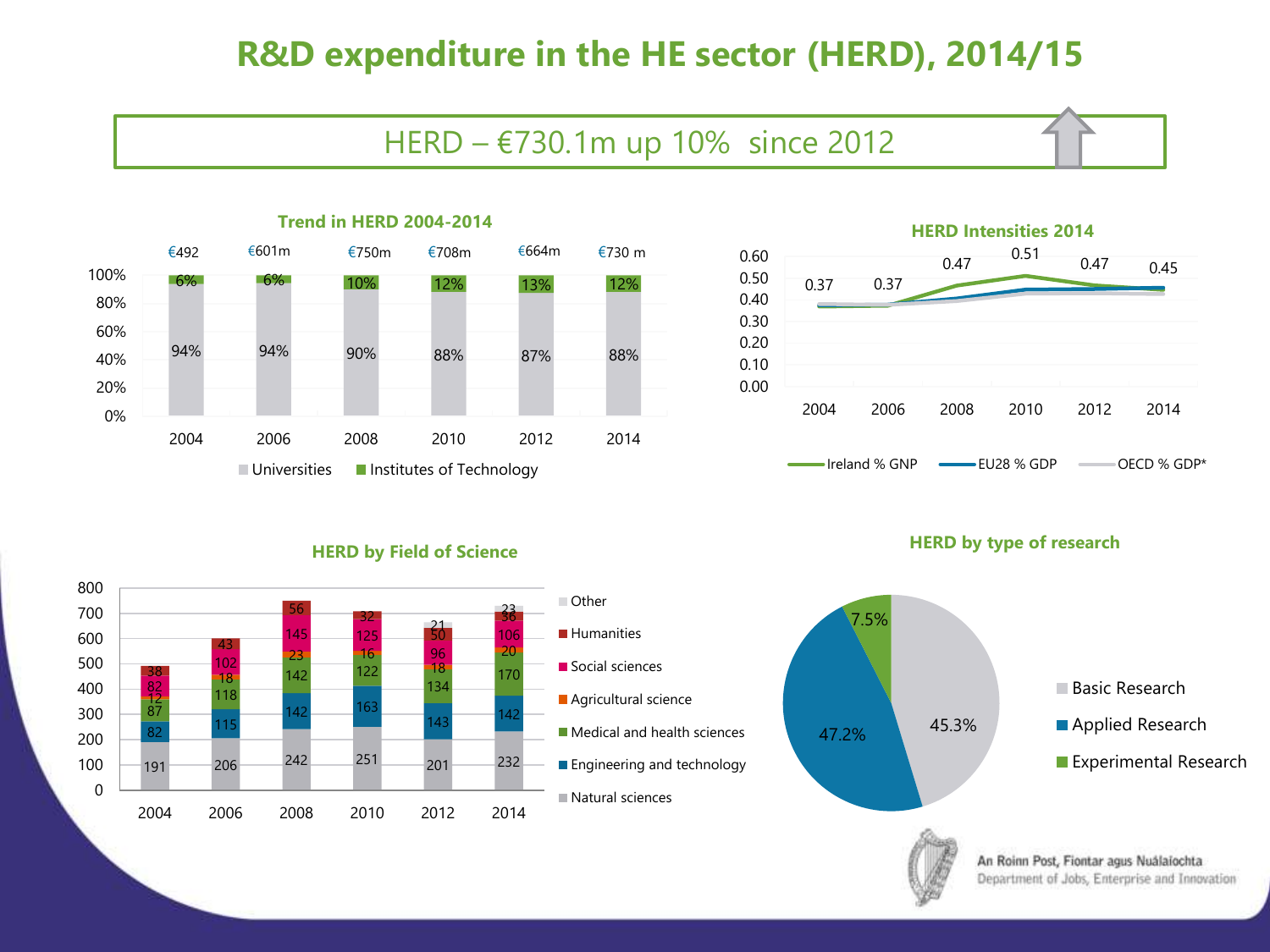# **R&D expenditure in the HE sector (HERD), 2014/15**

## HERD – €730.1m up 10% since 2012





#### **HERD by Field of Science**





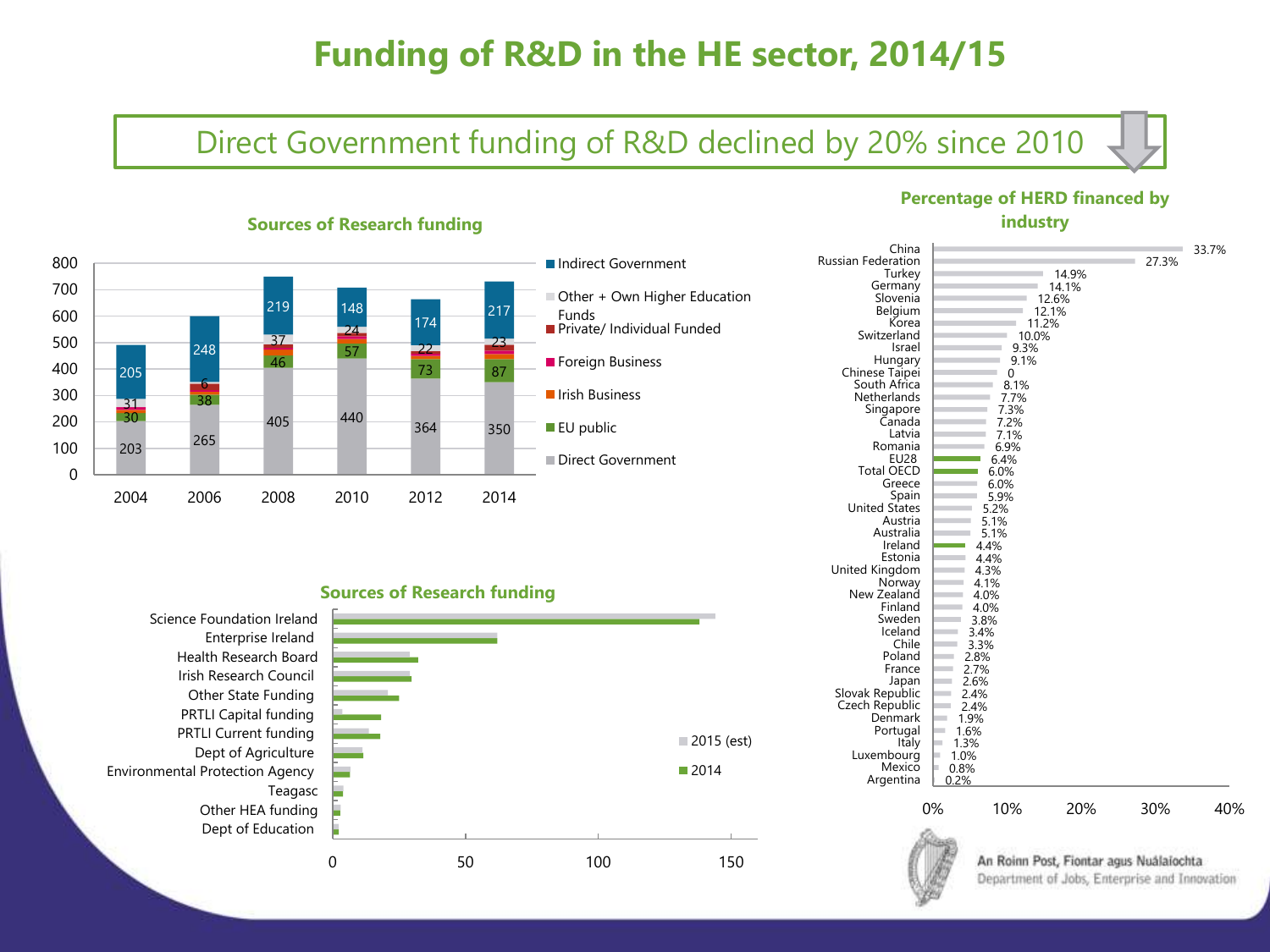# **Funding of R&D in the HE sector, 2014/15**

## Direct Government funding of R&D declined by 20% since 2010



### **Sources of Research funding**



# **Sources of Research funding** 2015 (est)



## **Percentage of HERD financed by industry**

| China<br><b>Russian Federation</b><br>Turkey<br>Germany |              |              | 14.9%<br>14.1%                                                                           | 27.3% | 33.7% |
|---------------------------------------------------------|--------------|--------------|------------------------------------------------------------------------------------------|-------|-------|
| Slovenia                                                |              |              | 12.6%                                                                                    |       |       |
| Belgium                                                 |              |              | 12.1%                                                                                    |       |       |
| Korea                                                   |              | 11.2%        |                                                                                          |       |       |
| Switzerland                                             |              | 10.0%        |                                                                                          |       |       |
| Israel                                                  |              | 9.3%         |                                                                                          |       |       |
| Hungary<br>Chinese Taipei                               |              | 9.1%<br>0    |                                                                                          |       |       |
| South Africa                                            |              | 8.1%         |                                                                                          |       |       |
| Netherlands                                             |              | 7.7%         |                                                                                          |       |       |
| Singapore                                               |              | 7.3%         |                                                                                          |       |       |
| Canada                                                  |              | 7.2%         |                                                                                          |       |       |
| Latvia                                                  |              | 7.1%         |                                                                                          |       |       |
| Romania                                                 |              | 6.9%         |                                                                                          |       |       |
| EU28                                                    |              | 6.4%         |                                                                                          |       |       |
| <b>Total OECD</b>                                       |              | 6.0%         |                                                                                          |       |       |
| Greece                                                  |              | 6.0%         |                                                                                          |       |       |
| Spain                                                   |              | 5.9%         |                                                                                          |       |       |
| <b>United States</b>                                    |              | 5.2%         |                                                                                          |       |       |
| Austria<br>Australia                                    |              | 5.1%         |                                                                                          |       |       |
| Ireland                                                 |              | 5.1%<br>4.4% |                                                                                          |       |       |
| Estonia                                                 |              | 4.4%         |                                                                                          |       |       |
| United Kingdom                                          |              | 4.3%         |                                                                                          |       |       |
| Norway                                                  |              | 4.1%         |                                                                                          |       |       |
| New Zealand                                             |              | 4.0%         |                                                                                          |       |       |
| Finland                                                 |              | 4.0%         |                                                                                          |       |       |
| Sweden                                                  |              | 3.8%         |                                                                                          |       |       |
| Iceland                                                 |              | 3.4%         |                                                                                          |       |       |
| Chile                                                   |              | 3.3%         |                                                                                          |       |       |
| Poland                                                  | 2.8%         |              |                                                                                          |       |       |
| France                                                  | 2.7%         |              |                                                                                          |       |       |
| Japan                                                   | 2.6%         |              |                                                                                          |       |       |
| Slovak Republic<br>Czech Republic                       | 2.4%<br>2.4% |              |                                                                                          |       |       |
| Denmark                                                 | 1.9%         |              |                                                                                          |       |       |
| Portugal                                                | 1.6%         |              |                                                                                          |       |       |
| Italy                                                   | 1.3%         |              |                                                                                          |       |       |
| Luxembourg                                              | 1.0%         |              |                                                                                          |       |       |
| Mexico                                                  | 0.8%         |              |                                                                                          |       |       |
| Argentina                                               | 0.2%         |              |                                                                                          |       |       |
|                                                         |              |              |                                                                                          |       |       |
|                                                         | 0%           | 10%          | 20%                                                                                      | 30%   | 40%   |
|                                                         |              |              | An Roinn Post, Fiontar agus Nuálaíochta<br>Department of Jobs, Enterprise and Innovation |       |       |